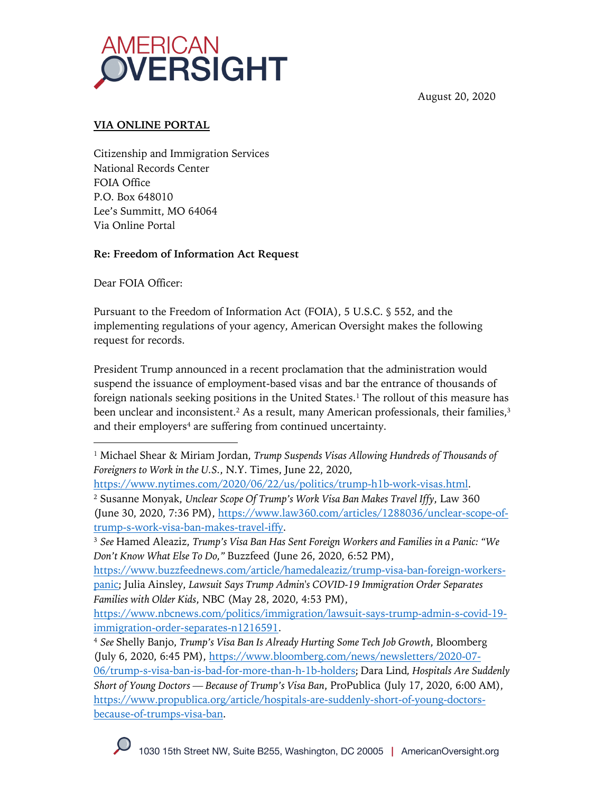

August 20, 2020

## **VIA ONLINE PORTAL**

Citizenship and Immigration Services National Records Center FOIA Office P.O. Box 648010 Lee's Summitt, MO 64064 Via Online Portal

## **Re: Freedom of Information Act Request**

Dear FOIA Officer:

Pursuant to the Freedom of Information Act (FOIA), 5 U.S.C. § 552, and the implementing regulations of your agency, American Oversight makes the following request for records.

President Trump announced in a recent proclamation that the administration would suspend the issuance of employment-based visas and bar the entrance of thousands of foreign nationals seeking positions in the United States.<sup>1</sup> The rollout of this measure has been unclear and inconsistent.<sup>2</sup> As a result, many American professionals, their families,<sup>3</sup> and their employers<sup>4</sup> are suffering from continued uncertainty.

<sup>1</sup> Michael Shear & Miriam Jordan, *Trump Suspends Visas Allowing Hundreds of Thousands of Foreigners to Work in the U.S.*, N.Y. Times, June 22, 2020,

https://www.nytimes.com/2020/06/22/us/politics/trump-h1b-work-visas.html. <sup>2</sup> Susanne Monyak, *Unclear Scope Of Trump's Work Visa Ban Makes Travel Iffy*, Law 360 (June 30, 2020, 7:36 PM), https://www.law360.com/articles/1288036/unclear-scope-oftrump-s-work-visa-ban-makes-travel-iffy.

<sup>3</sup> *See* Hamed Aleaziz, *Trump's Visa Ban Has Sent Foreign Workers and Families in a Panic: "We Don't Know What Else To Do,"* Buzzfeed (June 26, 2020, 6:52 PM),

https://www.buzzfeednews.com/article/hamedaleaziz/trump-visa-ban-foreign-workerspanic; Julia Ainsley, *Lawsuit Says Trump Admin's COVID-19 Immigration Order Separates Families with Older Kids*, NBC (May 28, 2020, 4:53 PM),

https://www.nbcnews.com/politics/immigration/lawsuit-says-trump-admin-s-covid-19 immigration-order-separates-n1216591.

<sup>4</sup> *See* Shelly Banjo, *Trump's Visa Ban Is Already Hurting Some Tech Job Growth*, Bloomberg (July 6, 2020, 6:45 PM), https://www.bloomberg.com/news/newsletters/2020-07- 06/trump-s-visa-ban-is-bad-for-more-than-h-1b-holders; Dara Lind*, Hospitals Are Suddenly Short of Young Doctors — Because of Trump's Visa Ban*, ProPublica (July 17, 2020, 6:00 AM), https://www.propublica.org/article/hospitals-are-suddenly-short-of-young-doctorsbecause-of-trumps-visa-ban.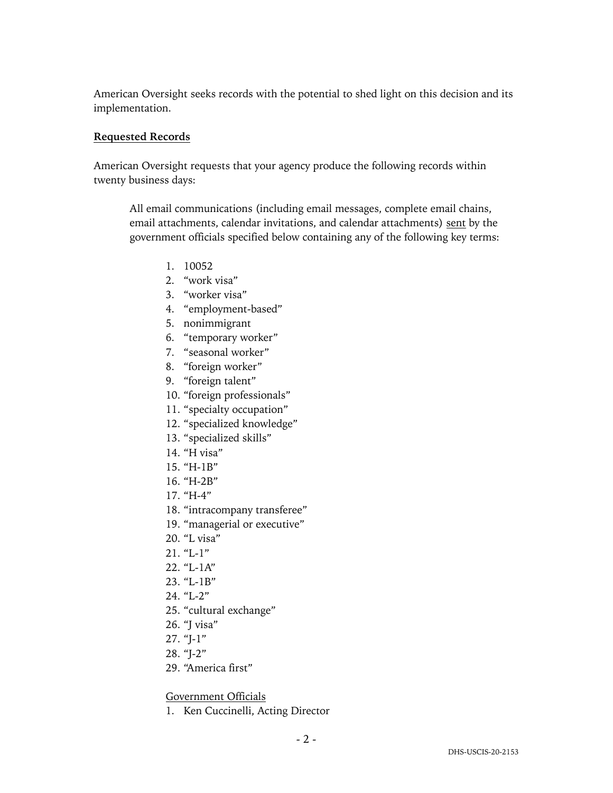American Oversight seeks records with the potential to shed light on this decision and its implementation.

#### **Requested Records**

American Oversight requests that your agency produce the following records within twenty business days:

All email communications (including email messages, complete email chains, email attachments, calendar invitations, and calendar attachments) sent by the government officials specified below containing any of the following key terms:

- 1. 10052
- 2. "work visa"
- 3. "worker visa"
- 4. "employment-based"
- 5. nonimmigrant
- 6. "temporary worker"
- 7. "seasonal worker"
- 8. "foreign worker"
- 9. "foreign talent"
- 10. "foreign professionals"
- 11. "specialty occupation"
- 12. "specialized knowledge"
- 13. "specialized skills"
- 14. "H visa"
- 15. "H-1B"
- 16. "H-2B"
- 17. "H-4"
- 18. "intracompany transferee"
- 19. "managerial or executive"
- 20. "L visa"
- $21.$  "L-1"
- 22. "L-1A"
- 23. "L-1B"
- 24. "L-2"
- 25. "cultural exchange"
- 26. "J visa"
- 27. "J-1"
- 28. "J-2"
- 29. "America first"

#### Government Officials

1. Ken Cuccinelli, Acting Director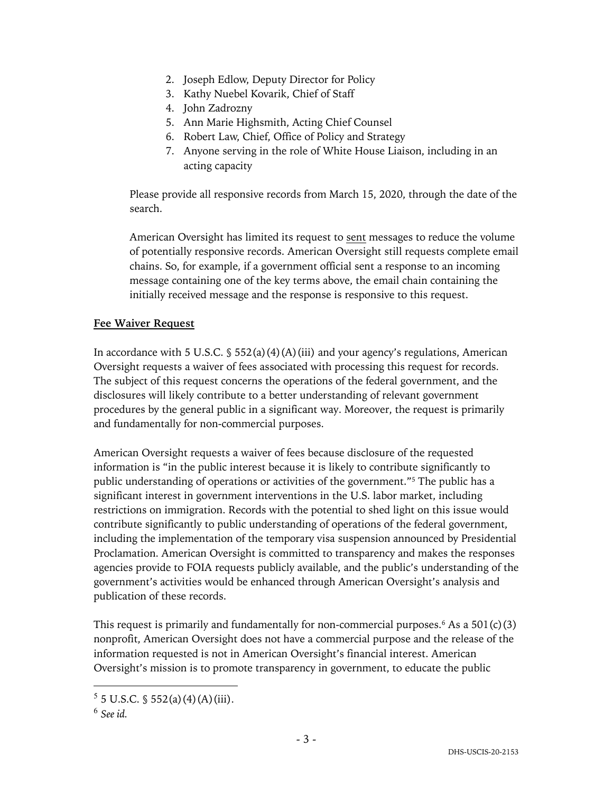- 2. Joseph Edlow, Deputy Director for Policy
- 3. Kathy Nuebel Kovarik, Chief of Staff
- 4. John Zadrozny
- 5. Ann Marie Highsmith, Acting Chief Counsel
- 6. Robert Law, Chief, Office of Policy and Strategy
- 7. Anyone serving in the role of White House Liaison, including in an acting capacity

Please provide all responsive records from March 15, 2020, through the date of the search.

American Oversight has limited its request to sent messages to reduce the volume of potentially responsive records. American Oversight still requests complete email chains. So, for example, if a government official sent a response to an incoming message containing one of the key terms above, the email chain containing the initially received message and the response is responsive to this request.

#### **Fee Waiver Request**

In accordance with 5 U.S.C.  $\frac{1}{5}$  552(a)(4)(A)(iii) and your agency's regulations, American Oversight requests a waiver of fees associated with processing this request for records. The subject of this request concerns the operations of the federal government, and the disclosures will likely contribute to a better understanding of relevant government procedures by the general public in a significant way. Moreover, the request is primarily and fundamentally for non-commercial purposes.

American Oversight requests a waiver of fees because disclosure of the requested information is "in the public interest because it is likely to contribute significantly to public understanding of operations or activities of the government."5 The public has a significant interest in government interventions in the U.S. labor market, including restrictions on immigration. Records with the potential to shed light on this issue would contribute significantly to public understanding of operations of the federal government, including the implementation of the temporary visa suspension announced by Presidential Proclamation. American Oversight is committed to transparency and makes the responses agencies provide to FOIA requests publicly available, and the public's understanding of the government's activities would be enhanced through American Oversight's analysis and publication of these records.

This request is primarily and fundamentally for non-commercial purposes.<sup>6</sup> As a  $501(c)(3)$ nonprofit, American Oversight does not have a commercial purpose and the release of the information requested is not in American Oversight's financial interest. American Oversight's mission is to promote transparency in government, to educate the public

 $5 \text{ J.S.C. }$  \$ 552(a)(4)(A)(iii).

<sup>6</sup> *See id.*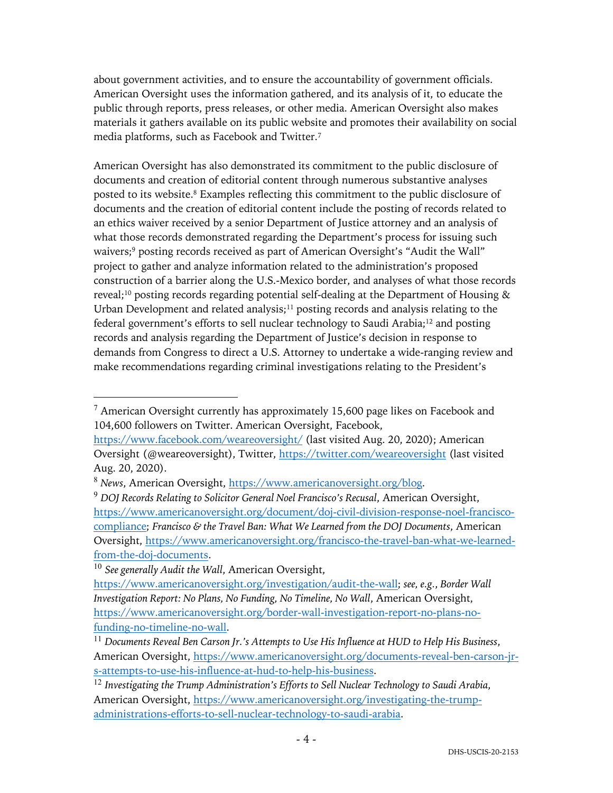about government activities, and to ensure the accountability of government officials. American Oversight uses the information gathered, and its analysis of it, to educate the public through reports, press releases, or other media. American Oversight also makes materials it gathers available on its public website and promotes their availability on social media platforms, such as Facebook and Twitter.7

American Oversight has also demonstrated its commitment to the public disclosure of documents and creation of editorial content through numerous substantive analyses posted to its website.8 Examples reflecting this commitment to the public disclosure of documents and the creation of editorial content include the posting of records related to an ethics waiver received by a senior Department of Justice attorney and an analysis of what those records demonstrated regarding the Department's process for issuing such waivers;<sup>9</sup> posting records received as part of American Oversight's "Audit the Wall" project to gather and analyze information related to the administration's proposed construction of a barrier along the U.S.-Mexico border, and analyses of what those records reveal;<sup>10</sup> posting records regarding potential self-dealing at the Department of Housing  $\&$ Urban Development and related analysis; $11$  posting records and analysis relating to the federal government's efforts to sell nuclear technology to Saudi Arabia;12 and posting records and analysis regarding the Department of Justice's decision in response to demands from Congress to direct a U.S. Attorney to undertake a wide-ranging review and make recommendations regarding criminal investigations relating to the President's

<sup>10</sup> *See generally Audit the Wall*, American Oversight,

 $7$  American Oversight currently has approximately 15,600 page likes on Facebook and 104,600 followers on Twitter. American Oversight, Facebook,

https://www.facebook.com/weareoversight/ (last visited Aug. 20, 2020); American Oversight (@weareoversight), Twitter, https://twitter.com/weareoversight (last visited Aug. 20, 2020).

<sup>8</sup> *News*, American Oversight, https://www.americanoversight.org/blog.

<sup>9</sup> *DOJ Records Relating to Solicitor General Noel Francisco's Recusal*, American Oversight, https://www.americanoversight.org/document/doj-civil-division-response-noel-franciscocompliance; *Francisco & the Travel Ban: What We Learned from the DOJ Documents*, American Oversight, https://www.americanoversight.org/francisco-the-travel-ban-what-we-learnedfrom-the-doj-documents.

https://www.americanoversight.org/investigation/audit-the-wall; *see, e.g.*, *Border Wall Investigation Report: No Plans, No Funding, No Timeline, No Wall*, American Oversight, https://www.americanoversight.org/border-wall-investigation-report-no-plans-nofunding-no-timeline-no-wall.

<sup>11</sup> *Documents Reveal Ben Carson Jr.'s Attempts to Use His Influence at HUD to Help His Business*, American Oversight, https://www.americanoversight.org/documents-reveal-ben-carson-jrs-attempts-to-use-his-influence-at-hud-to-help-his-business.

<sup>12</sup> *Investigating the Trump Administration's Efforts to Sell Nuclear Technology to Saudi Arabia*, American Oversight, https://www.americanoversight.org/investigating-the-trumpadministrations-efforts-to-sell-nuclear-technology-to-saudi-arabia.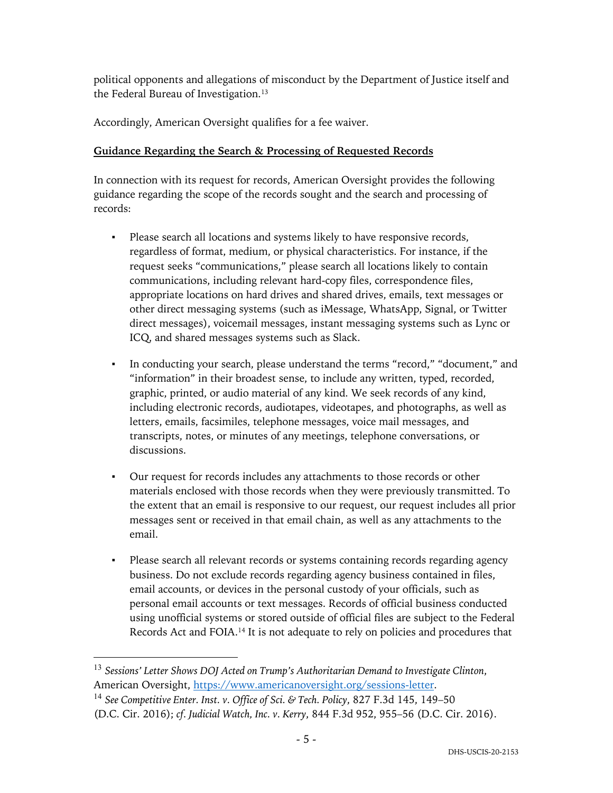political opponents and allegations of misconduct by the Department of Justice itself and the Federal Bureau of Investigation.<sup>13</sup>

Accordingly, American Oversight qualifies for a fee waiver.

# **Guidance Regarding the Search & Processing of Requested Records**

In connection with its request for records, American Oversight provides the following guidance regarding the scope of the records sought and the search and processing of records:

- Please search all locations and systems likely to have responsive records, regardless of format, medium, or physical characteristics. For instance, if the request seeks "communications," please search all locations likely to contain communications, including relevant hard-copy files, correspondence files, appropriate locations on hard drives and shared drives, emails, text messages or other direct messaging systems (such as iMessage, WhatsApp, Signal, or Twitter direct messages), voicemail messages, instant messaging systems such as Lync or ICQ, and shared messages systems such as Slack.
- In conducting your search, please understand the terms "record," "document," and "information" in their broadest sense, to include any written, typed, recorded, graphic, printed, or audio material of any kind. We seek records of any kind, including electronic records, audiotapes, videotapes, and photographs, as well as letters, emails, facsimiles, telephone messages, voice mail messages, and transcripts, notes, or minutes of any meetings, telephone conversations, or discussions.
- Our request for records includes any attachments to those records or other materials enclosed with those records when they were previously transmitted. To the extent that an email is responsive to our request, our request includes all prior messages sent or received in that email chain, as well as any attachments to the email.
- Please search all relevant records or systems containing records regarding agency business. Do not exclude records regarding agency business contained in files, email accounts, or devices in the personal custody of your officials, such as personal email accounts or text messages. Records of official business conducted using unofficial systems or stored outside of official files are subject to the Federal Records Act and FOIA.14 It is not adequate to rely on policies and procedures that

<sup>13</sup> *Sessions' Letter Shows DOJ Acted on Trump's Authoritarian Demand to Investigate Clinton*, American Oversight, https://www.americanoversight.org/sessions-letter.

<sup>14</sup> *See Competitive Enter. Inst. v. Office of Sci. & Tech. Policy*, 827 F.3d 145, 149–50 (D.C. Cir. 2016); *cf. Judicial Watch, Inc. v. Kerry*, 844 F.3d 952, 955–56 (D.C. Cir. 2016).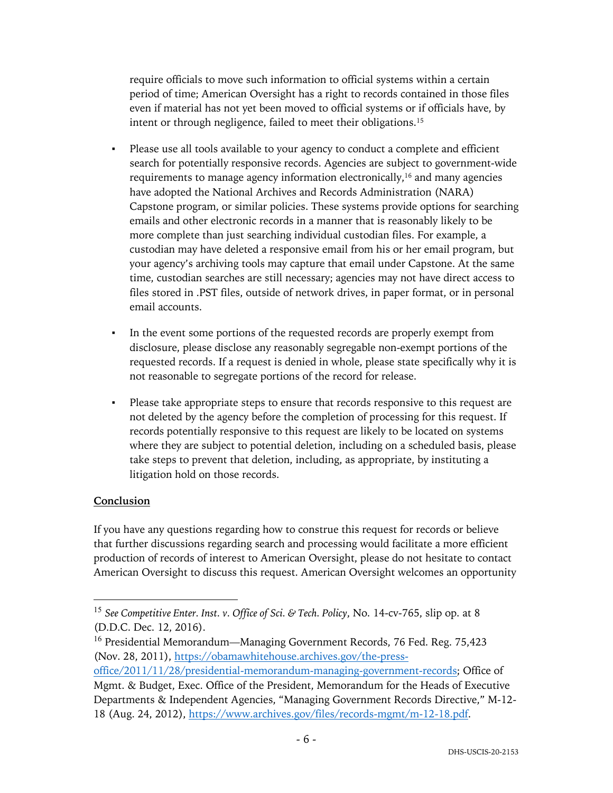require officials to move such information to official systems within a certain period of time; American Oversight has a right to records contained in those files even if material has not yet been moved to official systems or if officials have, by intent or through negligence, failed to meet their obligations.15

- Please use all tools available to your agency to conduct a complete and efficient search for potentially responsive records. Agencies are subject to government-wide requirements to manage agency information electronically,<sup>16</sup> and many agencies have adopted the National Archives and Records Administration (NARA) Capstone program, or similar policies. These systems provide options for searching emails and other electronic records in a manner that is reasonably likely to be more complete than just searching individual custodian files. For example, a custodian may have deleted a responsive email from his or her email program, but your agency's archiving tools may capture that email under Capstone. At the same time, custodian searches are still necessary; agencies may not have direct access to files stored in .PST files, outside of network drives, in paper format, or in personal email accounts.
- In the event some portions of the requested records are properly exempt from disclosure, please disclose any reasonably segregable non-exempt portions of the requested records. If a request is denied in whole, please state specifically why it is not reasonable to segregate portions of the record for release.
- Please take appropriate steps to ensure that records responsive to this request are not deleted by the agency before the completion of processing for this request. If records potentially responsive to this request are likely to be located on systems where they are subject to potential deletion, including on a scheduled basis, please take steps to prevent that deletion, including, as appropriate, by instituting a litigation hold on those records.

## **Conclusion**

If you have any questions regarding how to construe this request for records or believe that further discussions regarding search and processing would facilitate a more efficient production of records of interest to American Oversight, please do not hesitate to contact American Oversight to discuss this request. American Oversight welcomes an opportunity

<sup>15</sup> *See Competitive Enter. Inst. v. Office of Sci. & Tech. Policy*, No. 14-cv-765, slip op. at 8 (D.D.C. Dec. 12, 2016).

<sup>&</sup>lt;sup>16</sup> Presidential Memorandum—Managing Government Records, 76 Fed. Reg. 75,423 (Nov. 28, 2011), https://obamawhitehouse.archives.gov/the-press-

office/2011/11/28/presidential-memorandum-managing-government-records; Office of Mgmt. & Budget, Exec. Office of the President, Memorandum for the Heads of Executive Departments & Independent Agencies, "Managing Government Records Directive," M-12- 18 (Aug. 24, 2012), https://www.archives.gov/files/records-mgmt/m-12-18.pdf.